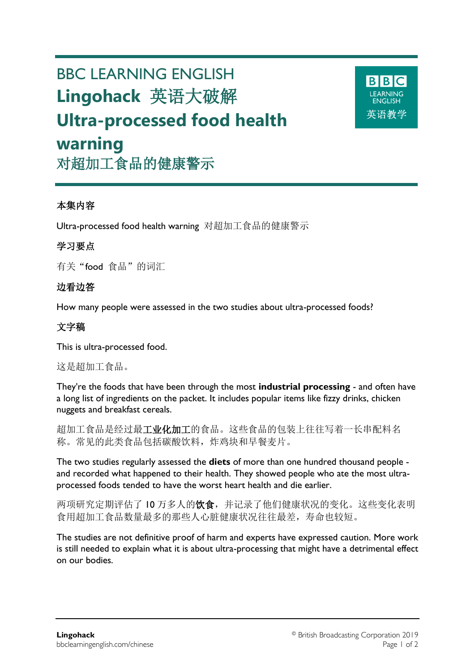# BBC LEARNING ENGLISH **Lingohack** 英语大破解 **Ultra-processed food health warning** 对超加工食品的健康警示



本集内容

Ultra-processed food health warning 对超加工食品的健康警示

## 学习要点

有关"food 食品"的词汇

## 边看边答

How many people were assessed in the two studies about ultra-processed foods?

## 文字稿

This is ultra-processed food.

这是超加工食品。

They're the foods that have been through the most **industrial processing** - and often have a long list of ingredients on the packet. It includes popular items like fizzy drinks, chicken nuggets and breakfast cereals.

超加工食品是经过最工业化加工的食品。这些食品的包装上往往写着一长串配料名 称。常见的此类食品包括碳酸饮料,炸鸡块和早餐麦片。

The two studies regularly assessed the **diets** of more than one hundred thousand people and recorded what happened to their health. They showed people who ate the most ultraprocessed foods tended to have the worst heart health and die earlier.

两项研究定期评估了 10 万多人的饮食,并记录了他们健康状况的变化。这些变化表明 食用超加工食品数量最多的那些人心脏健康状况往往最差,寿命也较短。

The studies are not definitive proof of harm and experts have expressed caution. More work is still needed to explain what it is about ultra-processing that might have a detrimental effect on our bodies.